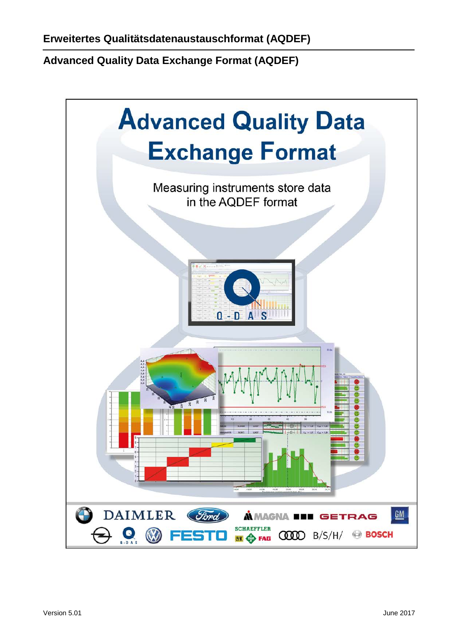<span id="page-0-0"></span>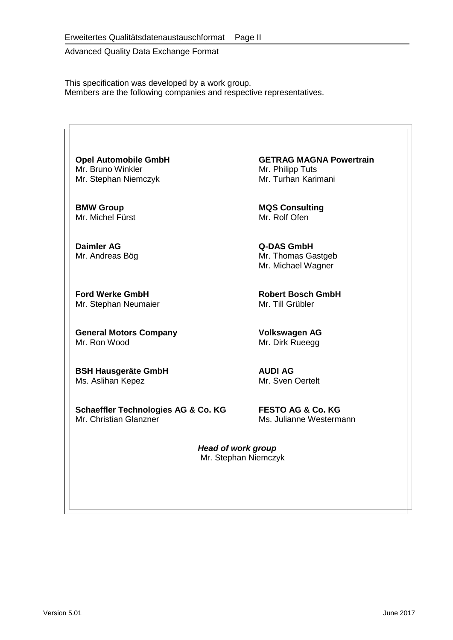This specification was developed by a work group. Members are the following companies and respective representatives.

<span id="page-1-0"></span>Mr. Bruno Winkler Mr. Philipp Tuts<br>Mr. Stephan Niemczyk Mr. Turhan Karimani Mr. Stephan Niemczyk

Mr. Michel Fürst

**Daimler AG Q-DAS GmbH**<br>
Mr. Andreas Bög **Mr. Thomas Gamb** 

**Ford Werke GmbH**<br>
Mr. Stephan Neumaier **Mr. Till Grübler** Mr. Stephan Neumaier

**General Motors Company 6 <br>
Mr. Ron Wood <b>Mr. Prontice Mr. Dirk Rueega** 

<span id="page-1-1"></span>**BSH Hausgeräte GmbH AUDI AG** Ms. Aslihan Kepez

**Schaeffler Technologies AG & Co. KG** FESTO AG & Co. KG<br>Mr. Christian Glanzner Ms. Julianne Westerm

**Opel Automobile GmbH**<br>
Mr. Bruno Winkler<br>
Mr. Philipp Tuts

**BMW Group MQS Consulting**

Mr. Thomas Gastgeb Mr. Michael Wagner

Mr. Dirk Rueegg

Ms. Julianne Westermann

*Head of work group* Mr. Stephan Niemczyk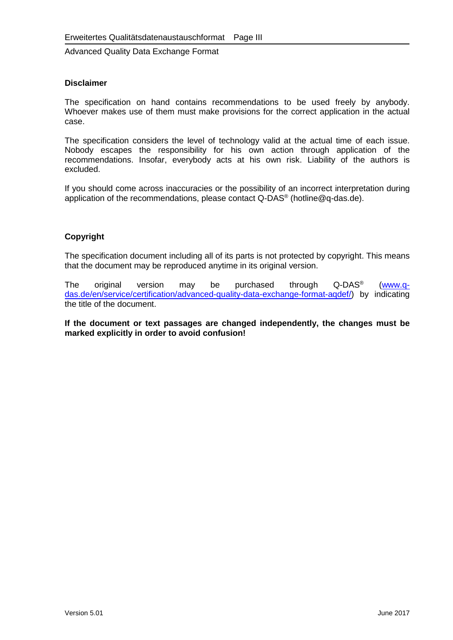#### **Disclaimer**

The specification on hand contains recommendations to be used freely by anybody. Whoever makes use of them must make provisions for the correct application in the actual case.

The specification considers the level of technology valid at the actual time of each issue. Nobody escapes the responsibility for his own action through application of the recommendations. Insofar, everybody acts at his own risk. Liability of the authors is excluded.

If you should come across inaccuracies or the possibility of an incorrect interpretation during application of the recommendations, please contact Q-DAS® (hotline@q-das.de).

#### **Copyright**

The specification document including all of its parts is not protected by copyright. This means that the document may be reproduced anytime in its original version.

The original version may be purchased through Q-DAS® [\(www.q](http://www.q-das.de/en/service/certification/advanced-quality-data-exchange-format-aqdef/)[das.de/en/service/certification/advanced-quality-data-exchange-format-aqdef/\)](http://www.q-das.de/en/service/certification/advanced-quality-data-exchange-format-aqdef/) by indicating the title of the document.

**If the document or text passages are changed independently, the changes must be marked explicitly in order to avoid confusion!**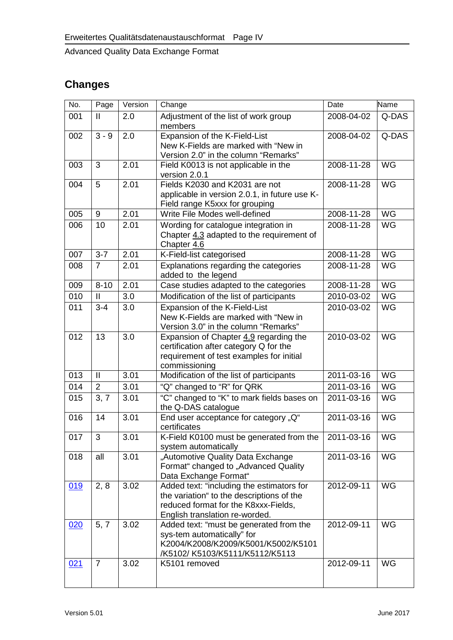# **Changes**

| No. | Page           | Version | Change                                                                                                                                                           | Date       | Name      |
|-----|----------------|---------|------------------------------------------------------------------------------------------------------------------------------------------------------------------|------------|-----------|
| 001 | $\mathbf{II}$  | 2.0     | Adjustment of the list of work group<br>members                                                                                                                  | 2008-04-02 | Q-DAS     |
| 002 | $3 - 9$        | 2.0     | Expansion of the K-Field-List<br>New K-Fields are marked with "New in<br>Version 2.0" in the column "Remarks"                                                    | 2008-04-02 | Q-DAS     |
| 003 | 3              | 2.01    | Field K0013 is not applicable in the<br>version 2.0.1                                                                                                            | 2008-11-28 | WG        |
| 004 | 5              | 2.01    | Fields K2030 and K2031 are not<br>applicable in version 2.0.1, in future use K-<br>Field range K5xxx for grouping                                                | 2008-11-28 | WG        |
| 005 | 9              | 2.01    | Write File Modes well-defined                                                                                                                                    | 2008-11-28 | WG        |
| 006 | 10             | 2.01    | Wording for catalogue integration in<br>Chapter 4.3 adapted to the requirement of<br>Chapter 4.6                                                                 | 2008-11-28 | WG        |
| 007 | $3 - 7$        | 2.01    | K-Field-list categorised                                                                                                                                         | 2008-11-28 | WG        |
| 008 | $\overline{7}$ | 2.01    | Explanations regarding the categories<br>added to the legend                                                                                                     | 2008-11-28 | WG        |
| 009 | $8 - 10$       | 2.01    | Case studies adapted to the categories                                                                                                                           | 2008-11-28 | WG        |
| 010 | Ш              | 3.0     | Modification of the list of participants                                                                                                                         | 2010-03-02 | WG        |
| 011 | $3 - 4$        | 3.0     | Expansion of the K-Field-List<br>New K-Fields are marked with "New in<br>Version 3.0" in the column "Remarks"                                                    | 2010-03-02 | WG        |
| 012 | 13             | 3.0     | Expansion of Chapter 4.9 regarding the<br>certification after category Q for the<br>requirement of test examples for initial<br>commissioning                    | 2010-03-02 | WG        |
| 013 | $\mathbf{  }$  | 3.01    | Modification of the list of participants                                                                                                                         | 2011-03-16 | WG        |
| 014 | $\overline{2}$ | 3.01    | "Q" changed to "R" for QRK                                                                                                                                       | 2011-03-16 | WG        |
| 015 | 3, 7           | 3.01    | "C" changed to "K" to mark fields bases on<br>the Q-DAS catalogue                                                                                                | 2011-03-16 | WG        |
| 016 | 14             | 3.01    | End user acceptance for category "Q"<br>certificates                                                                                                             | 2011-03-16 | WG        |
| 017 | 3              | 3.01    | K-Field K0100 must be generated from the<br>system automatically                                                                                                 | 2011-03-16 | WG        |
| 018 | all            | 3.01    | "Automotive Quality Data Exchange<br>Format" changed to "Advanced Quality<br>Data Exchange Format"                                                               | 2011-03-16 | WG        |
| 019 | 2, 8           | 3.02    | Added text: "including the estimators for<br>the variation" to the descriptions of the<br>reduced format for the K8xxx-Fields,<br>English translation re-worded. | 2012-09-11 | <b>WG</b> |
| 020 | 5, 7           | 3.02    | Added text: "must be generated from the<br>sys-tem automatically" for<br>K2004/K2008/K2009/K5001/K5002/K5101<br>/K5102/K5103/K5111/K5112/K5113                   | 2012-09-11 | WG        |
| 021 | $\overline{7}$ | 3.02    | K5101 removed                                                                                                                                                    | 2012-09-11 | <b>WG</b> |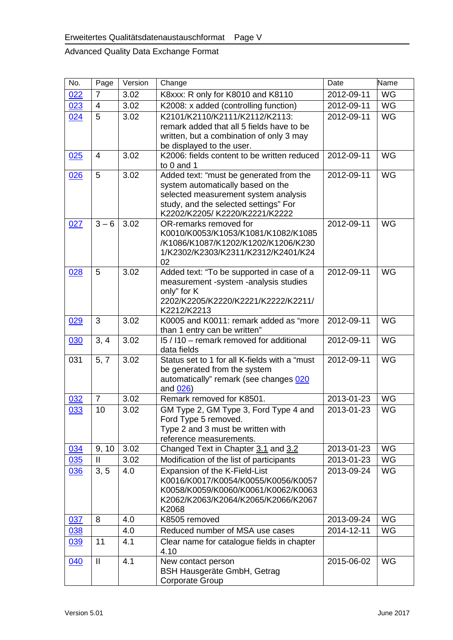| No. | Page           | Version | Change                                                                                                                                                                                         | Date       | Name      |
|-----|----------------|---------|------------------------------------------------------------------------------------------------------------------------------------------------------------------------------------------------|------------|-----------|
| 022 | 7              | 3.02    | K8xxx: R only for K8010 and K8110                                                                                                                                                              | 2012-09-11 | WG        |
| 023 | $\overline{4}$ | 3.02    | K2008: x added (controlling function)                                                                                                                                                          | 2012-09-11 | <b>WG</b> |
| 024 | $\overline{5}$ | 3.02    | K2101/K2110/K2111/K2112/K2113:<br>remark added that all 5 fields have to be<br>written, but a combination of only 3 may<br>be displayed to the user.                                           | 2012-09-11 | <b>WG</b> |
| 025 | 4              | 3.02    | K2006: fields content to be written reduced<br>to 0 and 1                                                                                                                                      | 2012-09-11 | <b>WG</b> |
| 026 | 5              | 3.02    | Added text: "must be generated from the<br>system automatically based on the<br>selected measurement system analysis<br>study, and the selected settings" For<br>K2202/K2205/K2220/K2221/K2222 | 2012-09-11 | <b>WG</b> |
| 027 | $3 - 6$        | 3.02    | OR-remarks removed for<br>K0010/K0053/K1053/K1081/K1082/K1085<br>/K1086/K1087/K1202/K1202/K1206/K230<br>1/K2302/K2303/K2311/K2312/K2401/K24<br>02                                              | 2012-09-11 | <b>WG</b> |
| 028 | 5              | 3.02    | Added text: "To be supported in case of a<br>measurement -system -analysis studies<br>only" for K<br>2202/K2205/K2220/K2221/K2222/K2211/<br>K2212/K2213                                        | 2012-09-11 | <b>WG</b> |
| 029 | 3              | 3.02    | K0005 and K0011: remark added as "more<br>than 1 entry can be written"                                                                                                                         | 2012-09-11 | <b>WG</b> |
| 030 | 3, 4           | 3.02    | 15 / 110 - remark removed for additional<br>data fields                                                                                                                                        | 2012-09-11 | WG        |
| 031 | 5, 7           | 3.02    | Status set to 1 for all K-fields with a "must<br>be generated from the system<br>automatically" remark (see changes 020<br>and 026)                                                            | 2012-09-11 | <b>WG</b> |
| 032 | $\overline{7}$ | 3.02    | Remark removed for K8501.                                                                                                                                                                      | 2013-01-23 | <b>WG</b> |
| 033 | 10             | 3.02    | GM Type 2, GM Type 3, Ford Type 4 and<br>Ford Type 5 removed.<br>Type 2 and 3 must be written with<br>reference measurements.                                                                  | 2013-01-23 | <b>WG</b> |
| 034 | 9, 10          | 3.02    | Changed Text in Chapter 3.1 and 3.2                                                                                                                                                            | 2013-01-23 | <b>WG</b> |
| 035 | Ħ              | 3.02    | Modification of the list of participants                                                                                                                                                       | 2013-01-23 | WG        |
| 036 | 3, 5           | 4.0     | Expansion of the K-Field-List<br>K0016/K0017/K0054/K0055/K0056/K0057<br>K0058/K0059/K0060/K0061/K0062/K0063<br>K2062/K2063/K2064/K2065/K2066/K2067<br>K2068                                    | 2013-09-24 | WG        |
| 037 | 8              | 4.0     | K8505 removed                                                                                                                                                                                  | 2013-09-24 | <b>WG</b> |
| 038 |                | 4.0     | Reduced number of MSA use cases                                                                                                                                                                | 2014-12-11 | WG        |
| 039 | 11             | 4.1     | Clear name for catalogue fields in chapter<br>4.10                                                                                                                                             |            |           |
| 040 | $\mathbf{II}$  | 4.1     | New contact person<br><b>BSH Hausgeräte GmbH, Getrag</b><br>Corporate Group                                                                                                                    | 2015-06-02 | <b>WG</b> |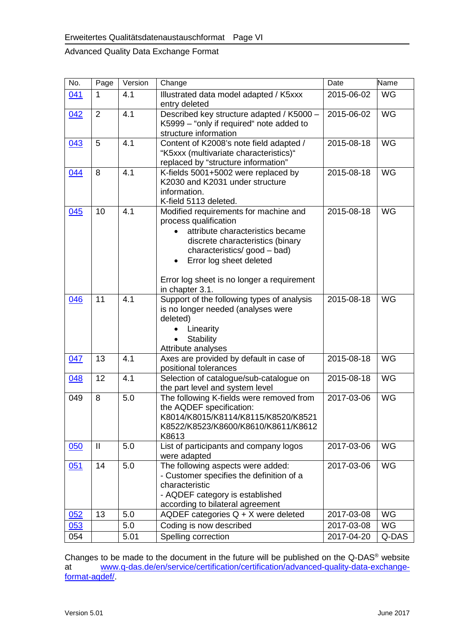| No. | Page           | Version | Change                                                                                                                                                                                                                                                                 | Date       | Name      |
|-----|----------------|---------|------------------------------------------------------------------------------------------------------------------------------------------------------------------------------------------------------------------------------------------------------------------------|------------|-----------|
| 041 | $\mathbf 1$    | 4.1     | Illustrated data model adapted / K5xxx<br>entry deleted                                                                                                                                                                                                                | 2015-06-02 | <b>WG</b> |
| 042 | $\overline{2}$ | 4.1     | Described key structure adapted / K5000 -<br>K5999 - "only if required" note added to<br>structure information                                                                                                                                                         | 2015-06-02 | WG        |
| 043 | 5              | 4.1     | Content of K2008's note field adapted /<br>"K5xxx (multivariate characteristics)"<br>replaced by "structure information"                                                                                                                                               | 2015-08-18 | WG        |
| 044 | 8              | 4.1     | K-fields 5001+5002 were replaced by<br>K2030 and K2031 under structure<br>information.<br>K-field 5113 deleted.                                                                                                                                                        | 2015-08-18 | WG        |
| 045 | 10             | 4.1     | Modified requirements for machine and<br>process qualification<br>attribute characteristics became<br>discrete characteristics (binary<br>characteristics/good - bad)<br>Error log sheet deleted<br>٠<br>Error log sheet is no longer a requirement<br>in chapter 3.1. | 2015-08-18 | <b>WG</b> |
| 046 | 11             | 4.1     | Support of the following types of analysis<br>is no longer needed (analyses were<br>deleted)<br>Linearity<br><b>Stability</b><br>$\bullet$<br>Attribute analyses                                                                                                       | 2015-08-18 | WG        |
| 047 | 13             | 4.1     | Axes are provided by default in case of<br>positional tolerances                                                                                                                                                                                                       | 2015-08-18 | WG        |
| 048 | 12             | 4.1     | Selection of catalogue/sub-catalogue on<br>the part level and system level                                                                                                                                                                                             | 2015-08-18 | WG        |
| 049 | 8              | 5.0     | The following K-fields were removed from<br>the AQDEF specification:<br>K8014/K8015/K8114/K8115/K8520/K8521<br>K8522/K8523/K8600/K8610/K8611/K8612<br>K8613                                                                                                            | 2017-03-06 | <b>WG</b> |
| 050 | $\mathbf{II}$  | 5.0     | List of participants and company logos<br>were adapted                                                                                                                                                                                                                 | 2017-03-06 | <b>WG</b> |
| 051 | 14             | 5.0     | The following aspects were added:<br>- Customer specifies the definition of a<br>characteristic<br>- AQDEF category is established<br>according to bilateral agreement                                                                                                 | 2017-03-06 | WG        |
| 052 | 13             | 5.0     | AQDEF categories $Q + X$ were deleted                                                                                                                                                                                                                                  | 2017-03-08 | WG        |
| 053 |                | 5.0     | Coding is now described                                                                                                                                                                                                                                                | 2017-03-08 | WG        |
| 054 |                | 5.01    | Spelling correction                                                                                                                                                                                                                                                    | 2017-04-20 | Q-DAS     |

Changes to be made to the document in the future will be published on the Q-DAS<sup>®</sup> website at [www.q-das.de/en/service/certification/certification/advanced-quality-data-exchange](http://www.q-das.de/en/service/certification/certification/automotive-quality-data-exchange-format-aqdef/)[format-aqdef/.](http://www.q-das.de/en/service/certification/certification/automotive-quality-data-exchange-format-aqdef/)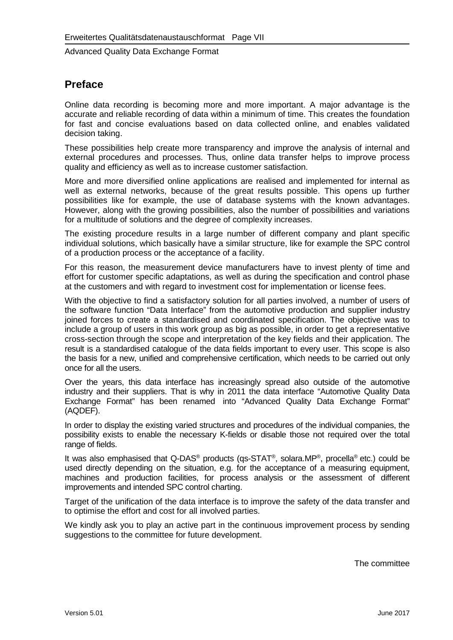#### <span id="page-6-0"></span>**Preface**

Online data recording is becoming more and more important. A major advantage is the accurate and reliable recording of data within a minimum of time. This creates the foundation for fast and concise evaluations based on data collected online, and enables validated decision taking.

These possibilities help create more transparency and improve the analysis of internal and external procedures and processes. Thus, online data transfer helps to improve process quality and efficiency as well as to increase customer satisfaction.

More and more diversified online applications are realised and implemented for internal as well as external networks, because of the great results possible. This opens up further possibilities like for example, the use of database systems with the known advantages. However, along with the growing possibilities, also the number of possibilities and variations for a multitude of solutions and the degree of complexity increases.

The existing procedure results in a large number of different company and plant specific individual solutions, which basically have a similar structure, like for example the SPC control of a production process or the acceptance of a facility.

For this reason, the measurement device manufacturers have to invest plenty of time and effort for customer specific adaptations, as well as during the specification and control phase at the customers and with regard to investment cost for implementation or license fees.

With the objective to find a satisfactory solution for all parties involved, a number of users of the software function "Data Interface" from the automotive production and supplier industry joined forces to create a standardised and coordinated specification. The objective was to include a group of users in this work group as big as possible, in order to get a representative cross-section through the scope and interpretation of the key fields and their application. The result is a standardised catalogue of the data fields important to every user. This scope is also the basis for a new, unified and comprehensive certification, which needs to be carried out only once for all the users.

Over the years, this data interface has increasingly spread also outside of the automotive industry and their suppliers. That is why in 2011 the data interface "Automotive Quality Data Exchange Format" has been renamed into "Advanced Quality Data Exchange Format" (AQDEF).

In order to display the existing varied structures and procedures of the individual companies, the possibility exists to enable the necessary K-fields or disable those not required over the total range of fields.

It was also emphasised that Q-DAS<sup>®</sup> products (qs-STAT<sup>®</sup>, solara.MP<sup>®</sup>, procella<sup>®</sup> etc.) could be used directly depending on the situation, e.g. for the acceptance of a measuring equipment, machines and production facilities, for process analysis or the assessment of different improvements and intended SPC control charting.

Target of the unification of the data interface is to improve the safety of the data transfer and to optimise the effort and cost for all involved parties.

We kindly ask you to play an active part in the continuous improvement process by sending suggestions to the committee for future development.

The committee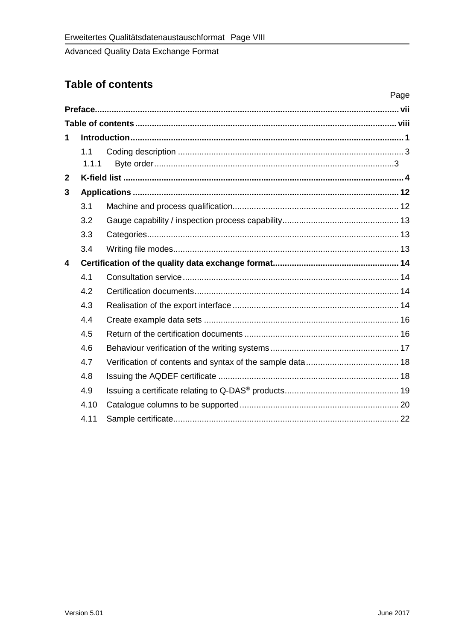### <span id="page-7-0"></span>**Table of contents**

|                         |       | Page |
|-------------------------|-------|------|
|                         |       |      |
|                         |       |      |
| 1                       |       |      |
|                         | 1.1   |      |
|                         | 1.1.1 |      |
| $\overline{2}$          |       |      |
| 3                       |       |      |
|                         | 3.1   |      |
|                         | 3.2   |      |
|                         | 3.3   |      |
|                         | 3.4   |      |
| $\overline{\mathbf{4}}$ |       |      |
|                         | 4.1   |      |
|                         | 4.2   |      |
|                         | 4.3   |      |
|                         | 4.4   |      |
|                         | 4.5   |      |
|                         | 4.6   |      |
|                         | 4.7   |      |
|                         | 4.8   |      |
|                         | 4.9   |      |
|                         | 4.10  |      |
|                         | 4.11  |      |
|                         |       |      |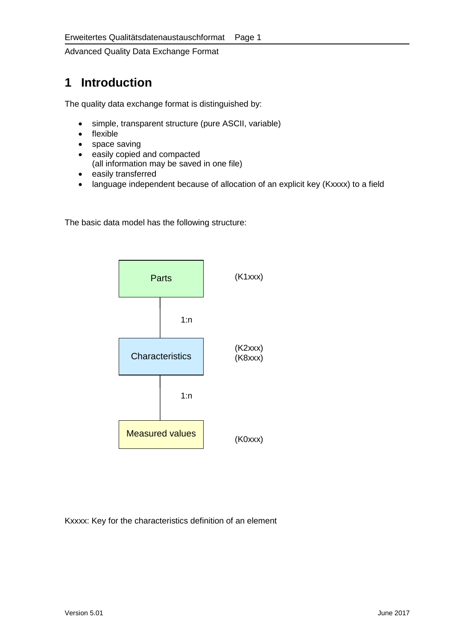## <span id="page-8-0"></span>**1 Introduction**

The quality data exchange format is distinguished by:

- simple, transparent structure (pure ASCII, variable)
- flexible
- space saving
- easily copied and compacted (all information may be saved in one file)
- easily transferred
- language independent because of allocation of an explicit key (Kxxxx) to a field

The basic data model has the following structure:



Kxxxx: Key for the characteristics definition of an element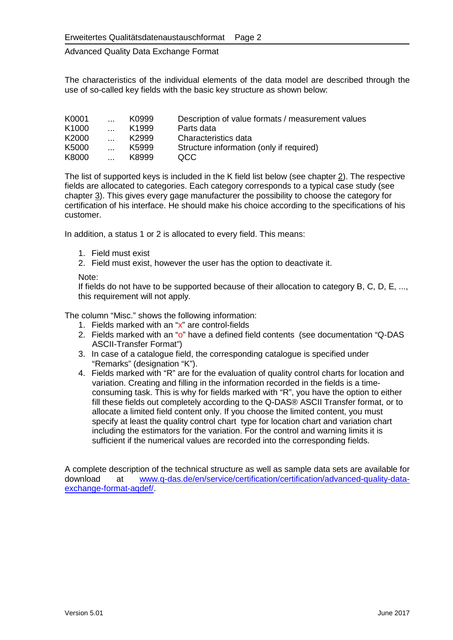The characteristics of the individual elements of the data model are described through the use of so-called key fields with the basic key structure as shown below:

| K0001             | $\cdots$ | K0999             | Description of value formats / measurement values |
|-------------------|----------|-------------------|---------------------------------------------------|
| K <sub>1000</sub> |          | K <sub>1999</sub> | Parts data                                        |
| K2000             |          | K <sub>2999</sub> | Characteristics data                              |
| K5000             |          | K5999             | Structure information (only if required)          |
| K8000             |          | K8999             | OCC.                                              |

<span id="page-9-1"></span>The list of supported keys is included in the K field list below (see chapter [2\)](#page-10-1). The respective fields are allocated to categories. Each category corresponds to a typical case study (see chapter [3\)](#page-19-3). This gives every gage manufacturer the possibility to choose the category for certification of his interface. He should make his choice according to the specifications of his customer.

In addition, a status 1 or 2 is allocated to every field. This means:

- 1. Field must exist
- 2. Field must exist, however the user has the option to deactivate it.

#### Note:

If fields do not have to be supported because of their allocation to category B, C, D, E, ..., this requirement will not apply.

The column "Misc." shows the following information:

- 1. Fields marked with an "x" are control-fields
- 2. Fields marked with an "o" have a defined field contents (see documentation "Q-DAS ASCII-Transfer Format")
- 3. In case of a catalogue field, the corresponding catalogue is specified under "Remarks" (designation "K").
- 4. Fields marked with "R" are for the evaluation of quality control charts for location and variation. Creating and filling in the information recorded in the fields is a timeconsuming task. This is why for fields marked with "R", you have the option to either fill these fields out completely according to the Q-DAS® ASCII Transfer format, or to allocate a limited field content only. If you choose the limited content, you must specify at least the quality control chart type for location chart and variation chart including the estimators for the variation. For the control and warning limits it is sufficient if the numerical values are recorded into the corresponding fields.

<span id="page-9-0"></span>A complete description of the technical structure as well as sample data sets are available for download at www.q-das.de/en/service/certification/certification/advanced-quality-dataat [www.q-das.de/en/service/certification/certification/advanced-quality-data](http://www.q-das.de/en/service/certification/certification/advanced-quality-data-exchange-format-aqdef/)[exchange-format-aqdef/.](http://www.q-das.de/en/service/certification/certification/advanced-quality-data-exchange-format-aqdef/)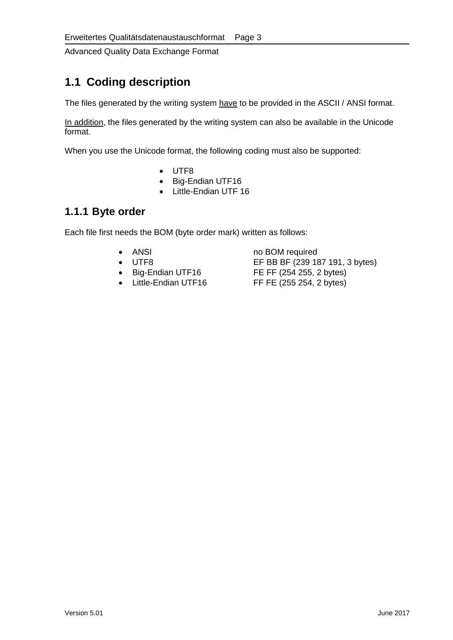## <span id="page-10-1"></span>**1.1 Coding description**

<span id="page-10-0"></span>The files generated by the writing system have to be provided in the ASCII / ANSI format.

In addition, the files generated by the writing system can also be available in the Unicode format.

When you use the Unicode format, the following coding must also be supported:

- UTF8
- Big-Endian UTF16
- Little-Endian UTF 16

#### <span id="page-10-2"></span>**1.1.1 Byte order**

Each file first needs the BOM (byte order mark) written as follows:

- 
- 
- 
- 

• ANSI no BOM required<br>• UTF8 EF BB BF (239 18 • UTF8 EF BB BF (239 187 191, 3 bytes)<br>• Big-Endian UTF16 FE FF (254 255, 2 bytes) • Big-Endian UTF16 FE FF (254 255, 2 bytes)<br>• Little-Endian UTF16 FF FE (255 254, 2 bytes) FF FE (255 254, 2 bytes)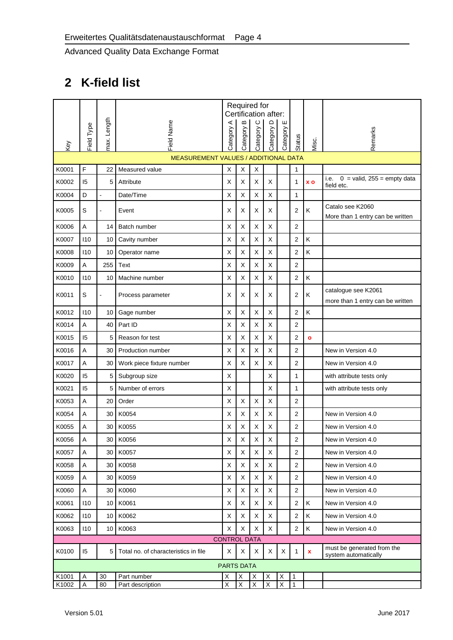# <span id="page-11-5"></span>**2 K-field list**

<span id="page-11-4"></span><span id="page-11-3"></span><span id="page-11-2"></span><span id="page-11-1"></span><span id="page-11-0"></span>

|       |            |                 |                                      |                         | $\bf{m}$                | Required for<br>$\circ$ | Certification after: | ш                       |                         |                |                                                         |
|-------|------------|-----------------|--------------------------------------|-------------------------|-------------------------|-------------------------|----------------------|-------------------------|-------------------------|----------------|---------------------------------------------------------|
| Key   | Field Type | max. Length     | <b>Field Name</b>                    | Category A              | Category                | Category <sup>(</sup>   | Category D           | Category                | Status                  | Misc.          | Remarks                                                 |
|       |            |                 | MEASUREMENT VALUES / ADDITIONAL DATA |                         |                         |                         |                      |                         |                         |                |                                                         |
| K0001 | F          | 22              | Measured value                       | X                       | X                       | $\mathsf X$             |                      |                         | 1                       |                |                                                         |
| K0002 | 15         | 5               | Attribute                            | X                       | X                       | X                       | X                    |                         | 1                       | x <sub>o</sub> | $0 =$ valid, 255 = empty data<br>i.e.<br>field etc.     |
| K0004 | D          | $\blacksquare$  | Date/Time                            | X                       | X                       | Χ                       | X                    |                         | 1                       |                |                                                         |
| K0005 | S          |                 | Event                                | X                       | X                       | X                       | X                    |                         | $\overline{2}$          | Κ              | Catalo see K2060<br>More than 1 entry can be written    |
| K0006 | A          | 14              | Batch number                         | X                       | X                       | X                       | X                    |                         | $\overline{2}$          |                |                                                         |
| K0007 | 110        | 10              | Cavity number                        | X                       | $\mathsf X$             | Χ                       | $\mathsf X$          |                         | $\overline{2}$          | Κ              |                                                         |
| K0008 | 110        | 10              | Operator name                        | X                       | X                       | $\mathsf X$             | X                    |                         | $\overline{2}$          | Κ              |                                                         |
| K0009 | A          | 255             | <b>Text</b>                          | X                       | X                       | $\sf X$                 | X                    |                         | $\overline{2}$          |                |                                                         |
| K0010 | 110        | 10              | Machine number                       | $\sf X$                 | $\mathsf X$             | $\mathsf X$             | X                    |                         | $\sqrt{2}$              | Κ              |                                                         |
| K0011 | S          |                 | Process parameter                    | X                       | X                       | X                       | X                    |                         | $\overline{2}$          | Κ              | catalogue see K2061<br>more than 1 entry can be written |
| K0012 | 110        | 10              | Gage number                          | X                       | X                       | Χ                       | X                    |                         | $\overline{2}$          | Κ              |                                                         |
| K0014 | Α          | 40              | Part ID                              | X                       | $\mathsf X$             | X                       | X                    |                         | $\boldsymbol{2}$        |                |                                                         |
| K0015 | 15         | 5               | Reason for test                      | X                       | $\mathsf X$             | Χ                       | X                    |                         | $\overline{2}$          | $\bullet$      |                                                         |
| K0016 | A          | 30              | Production number                    | X                       | X                       | X                       | X                    |                         | $\overline{2}$          |                | New in Version 4.0                                      |
| K0017 | Α          | 30              | Work piece fixture number            | X                       | X                       | X                       | X                    |                         | $\overline{2}$          |                | New in Version 4.0                                      |
| K0020 | 15         | 5               | Subgroup size                        | $\mathsf X$             |                         |                         | X                    |                         | $\mathbf{1}$            |                | with attribute tests only                               |
| K0021 | 15         | 5               | Number of errors                     | X                       |                         |                         | X                    |                         | 1                       |                | with attribute tests only                               |
| K0053 | A          | 20              | Order                                | X                       | X                       | X                       | X                    |                         | 2                       |                |                                                         |
| K0054 | Α          | 30              | K0054                                | X                       | X                       | X                       | X                    |                         | $\overline{2}$          |                | New in Version 4.0                                      |
| K0055 | Α          | 30              | K0055                                | X                       | X                       | Χ                       | Χ                    |                         | $\overline{\mathbf{c}}$ |                | New in Version 4.0                                      |
| K0056 | Α          | 30              | K0056                                | $\mathsf X$             | $\mathsf X$             | $\mathsf X$             | $\mathsf X$          |                         | $\sqrt{2}$              |                | New in Version 4.0                                      |
| K0057 | Α          | 30              | K0057                                | X                       | X                       | X                       | X                    |                         | $\overline{2}$          |                | New in Version 4.0                                      |
| K0058 | A          | 30              | K0058                                | X                       | X                       | X                       | X                    |                         | $\overline{2}$          |                | New in Version 4.0                                      |
| K0059 | Α          | 30              | K0059                                | X                       | X                       | X                       | X                    |                         | 2                       |                | New in Version 4.0                                      |
| K0060 | A          | 30              | K0060                                | Χ                       | Χ                       | X                       | X                    |                         | $\overline{2}$          |                | New in Version 4.0                                      |
| K0061 | 110        | 10 <sup>1</sup> | K0061                                | X                       | X                       | X                       | X                    |                         | $\overline{2}$          | Κ              | New in Version 4.0                                      |
| K0062 | 110        | 10              | K0062                                | X                       | X                       | X                       | X                    |                         | $\overline{2}$          | Κ              | New in Version 4.0                                      |
| K0063 | 110        | 10              | K0063                                | X                       | X                       | X                       | X                    |                         | $\overline{2}$          | K              | New in Version 4.0                                      |
|       |            |                 |                                      | <b>CONTROL DATA</b>     |                         |                         |                      |                         |                         |                |                                                         |
| K0100 | 15         | 5 <sup>1</sup>  | Total no. of characteristics in file | X                       | X                       | X                       | X                    | X                       | $\mathbf{1}$            | $\mathbf x$    | must be generated from the<br>system automatically      |
|       |            |                 |                                      | <b>PARTS DATA</b>       |                         |                         |                      |                         |                         |                |                                                         |
| K1001 | A          | 30              | Part number                          | X                       | $\mathsf X$             | Х                       | X                    | X                       | 1                       |                |                                                         |
| K1002 | A          | 80              | Part description                     | $\overline{\mathsf{x}}$ | $\overline{\mathsf{X}}$ | $\overline{X}$          | X                    | $\overline{\mathsf{x}}$ | 1                       |                |                                                         |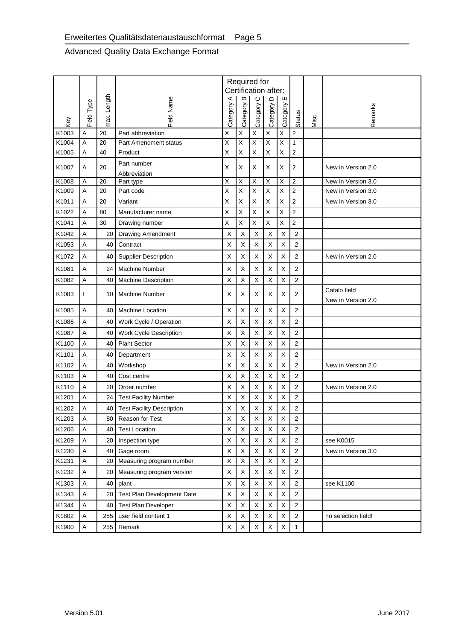|       |              |             |                                  |            | Б              | Required for<br>Certification after:<br>$\circ$ |                         | ш              |                         |       |                                    |
|-------|--------------|-------------|----------------------------------|------------|----------------|-------------------------------------------------|-------------------------|----------------|-------------------------|-------|------------------------------------|
| Key   | Field Type   | max. Length | <b>Field Name</b>                | Category A | Category       | Category                                        | Category D              | Category       | Status                  | Misc. | Remarks                            |
| K1003 | Α            | 20          | Part abbreviation                | X          | $\mathsf X$    | $\mathsf X$                                     | X                       | $\mathsf X$    | $\mathbf 2$             |       |                                    |
| K1004 | Α            | 20          | Part Amendment status            | X          | $\mathsf X$    | $\mathsf X$                                     | $\overline{\mathsf{x}}$ | $\mathsf X$    | $\mathbf{1}$            |       |                                    |
| K1005 | A            | 40          | Product                          | Χ          | X              | X                                               | X                       | Χ              | $\mathbf 2$             |       |                                    |
| K1007 | Α            | 20          | Part number-<br>Abbreviation     | X          | X              | X                                               | X                       | Х              | $\overline{2}$          |       | New in Version 2.0                 |
| K1008 | Α            | 20          | Part type                        | Χ          | $\overline{X}$ | $\overline{\mathsf{x}}$                         | Χ                       | $\overline{X}$ | $\overline{2}$          |       | New in Version 3.0                 |
| K1009 | Α            | 20          | Part code                        | Χ          | $\sf X$        | $\mathsf{x}$                                    | X                       | $\mathsf{X}$   | $\overline{c}$          |       | New in Version 3.0                 |
| K1011 | Α            | 20          | Variant                          | X          | X              | $\mathsf X$                                     | Χ                       | X              | $\overline{\mathbf{c}}$ |       | New in Version 3.0                 |
| K1022 | Α            | 80          | Manufacturer name                | Χ          | Χ              | X                                               | Χ                       | X              | $\mathbf 2$             |       |                                    |
| K1041 | Α            | 30          | Drawing number                   | X          | $\mathsf X$    | $\mathsf{X}$                                    | Χ                       | Χ              | $\mathbf 2$             |       |                                    |
| K1042 | Α            | 20          | <b>Drawing Amendment</b>         | Х          | X              | X                                               | X                       | X              | $\overline{2}$          |       |                                    |
| K1053 | Α            | 40          | Contract                         | X          | $\pmb{\times}$ | X                                               | X                       | $\mathsf X$    | $\overline{2}$          |       |                                    |
| K1072 | A            | 40          | <b>Supplier Description</b>      | X          | X              | X                                               | X                       | X              | $\overline{2}$          |       | New in Version 2.0                 |
| K1081 | Α            | 24          | <b>Machine Number</b>            | X          | X              | X                                               | $\mathsf X$             | $\sf X$        | $\overline{2}$          |       |                                    |
| K1082 | Α            | 40          | <b>Machine Description</b>       | X          | Χ              | X                                               | X                       | X              | $\overline{\mathbf{c}}$ |       |                                    |
| K1083 | $\mathsf{I}$ | 10          | <b>Machine Number</b>            | Х          | Х              | Х                                               | X                       | Х              | 2                       |       | Catalo field<br>New in Version 2.0 |
| K1085 | A            | 40          | Machine Location                 | X          | X              | $\sf X$                                         | X                       | X              | $\overline{2}$          |       |                                    |
| K1086 | A            | 40          | Work Cycle / Operation           | X          | $\pmb{\times}$ | $\sf X$                                         | $\mathsf X$             | $\mathsf X$    | 2                       |       |                                    |
| K1087 | Α            | 40          | Work Cycle Description           | X          | X              | X                                               | X                       | $\sf X$        | $\overline{2}$          |       |                                    |
| K1100 | A            | 40          | <b>Plant Sector</b>              | X          | X              | X                                               | X                       | X              | $\overline{2}$          |       |                                    |
| K1101 | Α            | 40          | Department                       | X          | X              | X                                               | X                       | X              | $\overline{2}$          |       |                                    |
| K1102 | Α            | 40          | Workshop                         | X          | $\pmb{\times}$ | X                                               | X                       | X              | 2                       |       | New in Version 2.0                 |
| K1103 | A            | 40          | Cost centre                      | X          | Χ              | $\sf X$                                         | $\mathsf X$             | $\mathsf X$    | $\overline{\mathbf{c}}$ |       |                                    |
| K1110 | Α            | 20          | Order number                     | X          | X              | X                                               | $\sf X$                 | $\sf X$        | $\overline{2}$          |       | New in Version 2.0                 |
| K1201 | Α            | 24          | <b>Test Facility Number</b>      | х          | Χ              | X                                               | X                       | X              | 2                       |       |                                    |
| K1202 | Α            | 40          | <b>Test Facility Description</b> | X          | Χ              | X                                               | X                       | X              | $\overline{2}$          |       |                                    |
| K1203 | A            | 80          | Reason for Test                  | X          | Χ              | X                                               | X                       | X              | $\overline{2}$          |       |                                    |
| K1206 | Α            | 40          | <b>Test Location</b>             | X          | $\pmb{\times}$ | X                                               | X                       | Χ              | $\overline{2}$          |       |                                    |
| K1209 | A            | 20          | Inspection type                  | X          | $\mathsf X$    | X                                               | X                       | $\mathsf X$    | 2                       |       | see K0015                          |
| K1230 | A            | 40          | Gage room                        | X          | $\pmb{\times}$ | X                                               | $\mathsf X$             | $\mathsf X$    | $\mathbf 2$             |       | New in Version 3.0                 |
| K1231 | A            | 20          | Measuring program number         | X          | $\pmb{\times}$ | X                                               | X                       | X              | $\overline{2}$          |       |                                    |
| K1232 | A            | 20          | Measuring program version        | X          | $\mathsf X$    | $\mathsf X$                                     | $\mathsf X$             | $\mathsf X$    | $\overline{2}$          |       |                                    |
| K1303 | A            | 40          | plant                            | X          | $\mathsf X$    | X                                               | X                       | $\mathsf X$    | $\overline{c}$          |       | see K1100                          |
| K1343 | Α            | 20          | Test Plan Development Date       | X          | Χ              | X                                               | X                       | $\mathsf X$    | $\mathbf 2$             |       |                                    |
| K1344 | A            | 40          | <b>Test Plan Developer</b>       | X          | $\mathsf{X}$   | $\sf X$                                         | X                       | $\sf X$        | $\overline{2}$          |       |                                    |
| K1802 | A            | 255         | user field content 1             | X          | $\mathsf X$    | X                                               | $\mathsf X$             | X              | 2                       |       | no selection field!                |
| K1900 | A            | 255         | Remark                           | X          | X              | X                                               | $\mathsf X$             | X              | $\mathbf{1}$            |       |                                    |
|       |              |             |                                  |            |                |                                                 |                         |                |                         |       |                                    |
|       | Version 5.01 |             |                                  |            |                |                                                 |                         |                |                         |       | June 2017                          |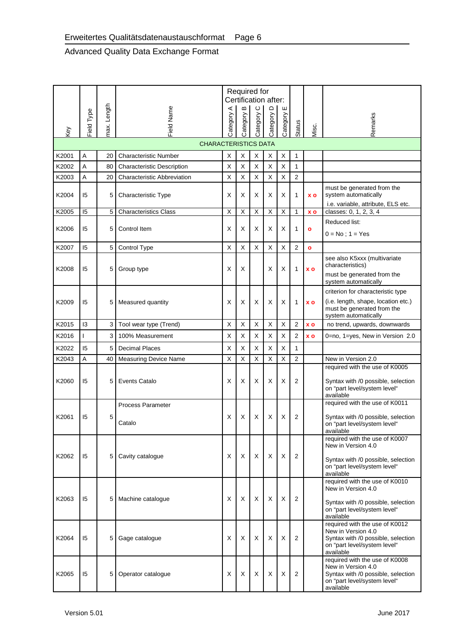|       | <b>Field Type</b>         | Length | Field Name                         | ⋖<br>Category | Required for<br>$\bf{m}$<br>Category | $\circ$<br>Category | Certification after:<br>Category D | ш<br>Category |                |                    | Remarks                                                                                                                                 |
|-------|---------------------------|--------|------------------------------------|---------------|--------------------------------------|---------------------|------------------------------------|---------------|----------------|--------------------|-----------------------------------------------------------------------------------------------------------------------------------------|
| Key   |                           | max.   |                                    |               |                                      |                     |                                    |               | Status         | Misc.              |                                                                                                                                         |
|       |                           |        | <b>CHARACTERISTICS DATA</b>        |               |                                      |                     |                                    |               |                |                    |                                                                                                                                         |
| K2001 | A                         | 20     | <b>Characteristic Number</b>       | х             | X                                    | X                   | X                                  | X             | 1              |                    |                                                                                                                                         |
| K2002 | A                         | 80     | Characteristic Description         | х             | X                                    | X                   | Х                                  | Х             | 1              |                    |                                                                                                                                         |
| K2003 | Α                         | 20     | <b>Characteristic Abbreviation</b> | X             | X                                    | X                   | X                                  | X             | 2              |                    |                                                                                                                                         |
| K2004 | 15                        | 5      | Characteristic Type                | х             | Х                                    | Х                   | Х                                  | Х             | 1              | XO                 | must be generated from the<br>system automatically<br>i.e. variable, attribute, ELS etc.                                                |
| K2005 | 15                        | 5      | <b>Characteristics Class</b>       | х             | X                                    | X                   | X                                  | X             | 1              | <b>XO</b>          | classes: 0, 1, 2, 3, 4                                                                                                                  |
| K2006 | 15                        | 5      | Control Item                       | х             | Х                                    | Х                   | Х                                  | х             | 1              | $\bullet$          | Reduced list:<br>$0 = No$ ; $1 = Yes$                                                                                                   |
| K2007 | 15                        | 5      | Control Type                       | X             | X                                    | X                   | X                                  | X             | 2              | $\bullet$          |                                                                                                                                         |
| K2008 | 15                        | 5      | Group type                         | х             | Х                                    |                     | X                                  | Х             | 1              | XO                 | see also K5xxx (multivariate<br>characteristics)<br>must be generated from the<br>system automatically                                  |
| K2009 | 15                        | 5      | Measured quantity                  | X             | Х                                    | X                   | Х                                  | х             | 1              | XO                 | criterion for characteristic type<br>(i.e. length, shape, location etc.)<br>must be generated from the<br>system automatically          |
| K2015 | 13                        | 3      | Tool wear type (Trend)             | X             | X                                    | X                   | X                                  | X             | $\overline{2}$ | $\boldsymbol{x}$ o | no trend, upwards, downwards                                                                                                            |
| K2016 | I                         | 3      | 100% Measurement                   | х             | X                                    | X                   | Χ                                  | Х             | 2              | <b>XO</b>          | 0=no, 1=yes, New in Version 2.0                                                                                                         |
| K2022 | 15                        | 5      | <b>Decimal Places</b>              | х             | X                                    | X                   | X                                  | X             | 1              |                    |                                                                                                                                         |
| K2043 | Α                         | 40     | <b>Measuring Device Name</b>       | X             | X                                    | X                   | X                                  | Χ             | $\overline{2}$ |                    | New in Version 2.0                                                                                                                      |
| K2060 | 15                        | 5      | <b>Events Catalo</b>               | х             | Х                                    | X                   | X                                  | Х             | 2              |                    | required with the use of K0005<br>Syntax with /0 possible, selection<br>on "part level/system level"<br>available                       |
|       |                           |        | <b>Process Parameter</b>           |               |                                      |                     |                                    |               |                |                    | required with the use of K0011                                                                                                          |
| K2061 | 15                        | 5      | Catalo                             | х             | Х                                    | Х                   | х                                  | х             | 2              |                    | Syntax with /0 possible, selection<br>on "part level/system level"<br>available                                                         |
| K2062 | 15                        | 5      | Cavity catalogue                   | Х             | Χ                                    | X                   | X                                  | X             | $\overline{2}$ |                    | required with the use of K0007<br>New in Version 4.0<br>Syntax with /0 possible, selection<br>on "part level/system level"<br>available |
| K2063 | 15                        | 5      | Machine catalogue                  | Х             | Х                                    | X                   | X                                  | Х             | 2              |                    | required with the use of K0010<br>New in Version 4.0<br>Syntax with /0 possible, selection<br>on "part level/system level"<br>available |
| K2064 | 15                        | 5      | Gage catalogue                     | X             | X                                    | X                   | X                                  | X             | $\overline{2}$ |                    | required with the use of K0012<br>New in Version 4.0<br>Syntax with /0 possible, selection<br>on "part level/system level"<br>available |
| K2065 | 15                        | 5      | Operator catalogue                 | Х             | X                                    | X                   | X                                  | X             | 2              |                    | required with the use of K0008<br>New in Version 4.0<br>Syntax with /0 possible, selection<br>on "part level/system level"<br>available |
|       | Version 5.01<br>June 2017 |        |                                    |               |                                      |                     |                                    |               |                |                    |                                                                                                                                         |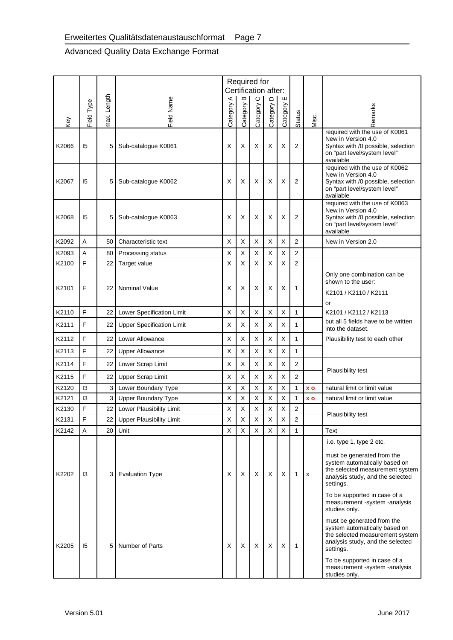|       |              |             |                                  | ⋖        | Required for<br>Certification after:<br>$\bf{m}$ | $\circ$  | $\mathsf \Omega$ | ш        |                |                    |                                                                                                                                                 |
|-------|--------------|-------------|----------------------------------|----------|--------------------------------------------------|----------|------------------|----------|----------------|--------------------|-------------------------------------------------------------------------------------------------------------------------------------------------|
| Key   | Field Type   | max. Length | Field Name                       | Category | Category                                         | Category | Category         | Category | Status         | Misc.              | Remarks                                                                                                                                         |
| K2066 | 15           | 5           | Sub-catalogue K0061              | X        | х                                                | X        | X                | х        | 2              |                    | required with the use of K0061<br>New in Version 4.0<br>Syntax with /0 possible, selection<br>on "part level/system level"<br>available         |
| K2067 | 15           | 5           | Sub-catalogue K0062              | X        | Х                                                | X        | Х                | х        | 2              |                    | required with the use of K0062<br>New in Version 4.0<br>Syntax with /0 possible, selection<br>on "part level/system level"<br>available         |
| K2068 | 15           | 5           | Sub-catalogue K0063              | х        | х                                                | X        | Х                | Х        | 2              |                    | required with the use of K0063<br>New in Version 4.0<br>Syntax with /0 possible, selection<br>on "part level/system level"<br>available         |
| K2092 | A            | 50          | Characteristic text              | Х        | Χ                                                | X        | X                | X        | 2              |                    | New in Version 2.0                                                                                                                              |
| K2093 | A            | 80          | Processing status                | Х        | X                                                | X        | X                | X        | 2              |                    |                                                                                                                                                 |
| K2100 | F            | 22          | Target value                     | X        | Χ                                                | X        | X                | X        | 2              |                    |                                                                                                                                                 |
| K2101 | F            | 22          | Nominal Value                    | х        | X                                                | X        | Х                | Х        | 1              |                    | Only one combination can be<br>shown to the user:<br>K2101 / K2110 / K2111                                                                      |
|       |              |             |                                  |          |                                                  |          |                  |          |                |                    | or                                                                                                                                              |
| K2110 | F            | 22          | Lower Specification Limit        | X        | Χ                                                | X        | X                | X        | $\mathbf{1}$   |                    | K2101 / K2112 / K2113                                                                                                                           |
| K2111 | F            | 22          | <b>Upper Specification Limit</b> | х        | X                                                | X        | X                | X        | 1              |                    | but all 5 fields have to be written<br>into the dataset.                                                                                        |
| K2112 | F            | 22          | Lower Allowance                  | Х        | X                                                | X        | X                | X        | 1              |                    | Plausibility test to each other                                                                                                                 |
| K2113 | F            | 22          | <b>Upper Allowance</b>           | Х        | X                                                | X        | X                | X        | 1              |                    |                                                                                                                                                 |
| K2114 | F            | 22          | Lower Scrap Limit                | Х        | X                                                | X        | X                | X        | 2              |                    |                                                                                                                                                 |
| K2115 | F            | 22          | <b>Upper Scrap Limit</b>         | Х        | X                                                | X        | X                | X        | 2              |                    | Plausibility test                                                                                                                               |
| K2120 | 13           | 3           | Lower Boundary Type              | х        | X                                                | X        | X                | X        | 1              | <b>XO</b>          | natural limit or limit value                                                                                                                    |
| K2121 | 13           | 3           | <b>Upper Boundary Type</b>       | Х        | X                                                | X        | X                | х        | 1              | XO                 | natural limit or limit value                                                                                                                    |
| K2130 | F            | 22          | Lower Plausibility Limit         | Х        | X                                                | X        | X                | X        | $\overline{2}$ |                    |                                                                                                                                                 |
| K2131 | F            | 22          | <b>Upper Plausibility Limit</b>  | Х        | х                                                | Х        | Х                | Х        | 2              |                    | Plausibility test                                                                                                                               |
| K2142 | Α            | 20          | Unit                             | X        | X                                                | $\times$ | X                | X        | 1              |                    | Text                                                                                                                                            |
|       |              |             |                                  |          |                                                  |          |                  |          |                |                    | i.e. type 1, type 2 etc.                                                                                                                        |
| K2202 | 13           | 3           | <b>Evaluation Type</b>           | Χ        | Х                                                | X        | X                | X        | 1              | $\pmb{\mathsf{x}}$ | must be generated from the<br>system automatically based on<br>the selected measurement system<br>analysis study, and the selected<br>settings. |
|       |              |             |                                  |          |                                                  |          |                  |          |                |                    | To be supported in case of a<br>measurement -system -analysis<br>studies only.                                                                  |
| K2205 | 15           | 5           | Number of Parts                  | X        | X                                                | X        | X                | X        | 1              |                    | must be generated from the<br>system automatically based on<br>the selected measurement system<br>analysis study, and the selected<br>settings. |
|       |              |             |                                  |          |                                                  |          |                  |          |                |                    | To be supported in case of a<br>measurement -system -analysis<br>studies only.                                                                  |
|       | Version 5.01 |             |                                  |          |                                                  |          |                  |          |                |                    | June 2017                                                                                                                                       |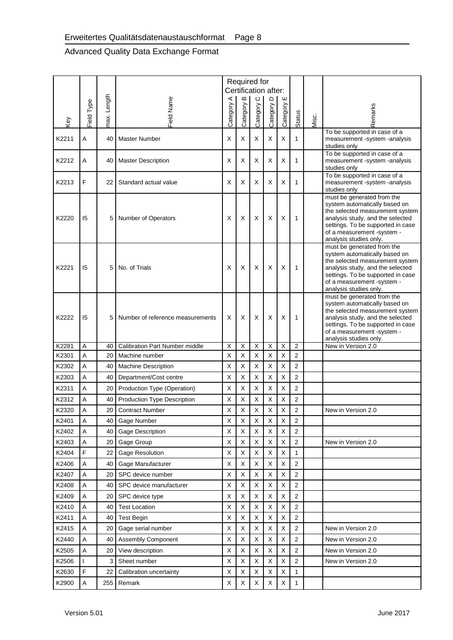|       |              |             |                                       |          | Required for<br>Certification after: |                |                  |                |                         |       |                                                                                                                                                                                                                                 |
|-------|--------------|-------------|---------------------------------------|----------|--------------------------------------|----------------|------------------|----------------|-------------------------|-------|---------------------------------------------------------------------------------------------------------------------------------------------------------------------------------------------------------------------------------|
|       |              |             |                                       | ⋖        | $\bf{m}$                             | $\circ$        | $\mathsf \Omega$ | ш              |                         |       |                                                                                                                                                                                                                                 |
| Key   | Field Type   | max. Length | <b>Field Name</b>                     | Category | Category                             | Category       | Category I       | Category       | Status                  | Misc. | Remarks                                                                                                                                                                                                                         |
| K2211 | Α            | 40          | <b>Master Number</b>                  | X        | Х                                    | X              | X                | X              | 1                       |       | To be supported in case of a<br>measurement -system -analysis                                                                                                                                                                   |
| K2212 | Α            | 40          | <b>Master Description</b>             | X        | X                                    | X              | X                | X              | 1                       |       | studies only<br>To be supported in case of a<br>measurement -system -analysis                                                                                                                                                   |
|       |              |             |                                       |          |                                      |                |                  |                |                         |       | studies only<br>To be supported in case of a                                                                                                                                                                                    |
| K2213 | F            | 22          | Standard actual value                 | х        | х                                    | X              | X                | х              | 1                       |       | measurement -system -analysis<br>studies only                                                                                                                                                                                   |
| K2220 | 15           | 5           | Number of Operators                   | X        | Х                                    | X              | X                | X              | 1                       |       | must be generated from the<br>system automatically based on<br>the selected measurement system<br>analysis study, and the selected<br>settings. To be supported in case<br>of a measurement -system -<br>analysis studies only. |
| K2221 | 15           |             | No. of Trials                         | X        | х                                    | X              | X                | X              | 1                       |       | must be generated from the<br>system automatically based on<br>the selected measurement system<br>analysis study, and the selected<br>settings. To be supported in case<br>of a measurement -system -<br>analysis studies only. |
| K2222 | 15           | 5           | Number of reference measurements      | X        | X                                    | X              | X                | X              | 1                       |       | must be generated from the<br>system automatically based on<br>the selected measurement system<br>analysis study, and the selected<br>settings. To be supported in case<br>of a measurement -system -<br>analysis studies only. |
| K2281 | A            | 40          | <b>Calibration Part Number middle</b> | Χ        | X                                    | $\overline{X}$ | X                | $\overline{X}$ | $\overline{\mathbf{c}}$ |       | New in Version 2.0                                                                                                                                                                                                              |
| K2301 | Α            | 20          | Machine number                        | X        | X                                    | X              | X                | X              | $\overline{2}$          |       |                                                                                                                                                                                                                                 |
| K2302 | Α            | 40          | <b>Machine Description</b>            | х        | х                                    | Х              | Х                | х              | 2                       |       |                                                                                                                                                                                                                                 |
| K2303 | Α            | 40          | Department/Cost centre                | Х        | Χ                                    | X              | $\sf X$          | Χ              | 2                       |       |                                                                                                                                                                                                                                 |
| K2311 | Α            | 20          | Production Type (Operation)           | X        | X                                    | X              | X                | X              | 2                       |       |                                                                                                                                                                                                                                 |
| K2312 | Α            | 40          | Production Type Description           | х        | Χ                                    | X              | X                | X              | 2                       |       |                                                                                                                                                                                                                                 |
| K2320 | A            | 20          | <b>Contract Number</b>                | X        | X                                    | X              | X                | X              | $\overline{2}$          |       | New in Version 2.0                                                                                                                                                                                                              |
| K2401 | A            | 40          | Gage Number                           | х        | X                                    | X              | X                | X              | 2                       |       |                                                                                                                                                                                                                                 |
| K2402 | Α            | 40          | Gage Description                      | Х        | X                                    | X              | X                | X              | 2                       |       |                                                                                                                                                                                                                                 |
| K2403 | A            | 20          | Gage Group                            | X        | X                                    | X              | X                | Χ              | 2                       |       | New in Version 2.0                                                                                                                                                                                                              |
| K2404 | F            | 22          | <b>Gage Resolution</b>                | X        | Χ                                    | X              | X                | Χ              | 1                       |       |                                                                                                                                                                                                                                 |
| K2406 | Α            | 40          | Gage Manufacturer                     | Х        | Χ                                    | X              | X                | X              | 2                       |       |                                                                                                                                                                                                                                 |
| K2407 | A            | 20          | SPC device number                     | Х        | X                                    | X              | X                | Χ              | 2                       |       |                                                                                                                                                                                                                                 |
| K2408 | A            | 40          | SPC device manufacturer               | X        | Χ                                    | X              | X                | X              | 2                       |       |                                                                                                                                                                                                                                 |
| K2409 | A            | 20          | SPC device type                       | X        | Χ                                    | X              | X                | Χ              | 2                       |       |                                                                                                                                                                                                                                 |
| K2410 | Α            | 40          | <b>Test Location</b>                  | Х        | Χ                                    | X              | X                | X              | 2                       |       |                                                                                                                                                                                                                                 |
| K2411 | A            | 40          | <b>Test Begin</b>                     | Х        | Χ                                    | X              | X                | Χ              | 2                       |       |                                                                                                                                                                                                                                 |
| K2415 | Α            | 20          | Gage serial number                    | Х        | Χ                                    | X              | X                | Χ              | 2                       |       | New in Version 2.0                                                                                                                                                                                                              |
| K2440 | A            | 40          | <b>Assembly Component</b>             | х        | Χ                                    | Х              | X                | Х              | 2                       |       | New in Version 2.0                                                                                                                                                                                                              |
| K2505 | A            | 20          | View description                      | Х        | Χ                                    | X              | $\mathsf X$      | Χ              | 2                       |       | New in Version 2.0                                                                                                                                                                                                              |
| K2506 | $\mathbf{I}$ | 3           | Sheet number                          | X        | Χ                                    | X              | X                | X              | 2                       |       | New in Version 2.0                                                                                                                                                                                                              |
| K2630 | F            | 22          | Calibration uncertainty               | Х        | Χ                                    | X              | X                | X              | 1                       |       |                                                                                                                                                                                                                                 |
| K2900 | A            | 255         | Remark                                | Х        | Χ                                    | X              | X                | X              | 1                       |       |                                                                                                                                                                                                                                 |
|       | Version 5.01 |             |                                       |          |                                      |                |                  |                |                         |       | June 2017                                                                                                                                                                                                                       |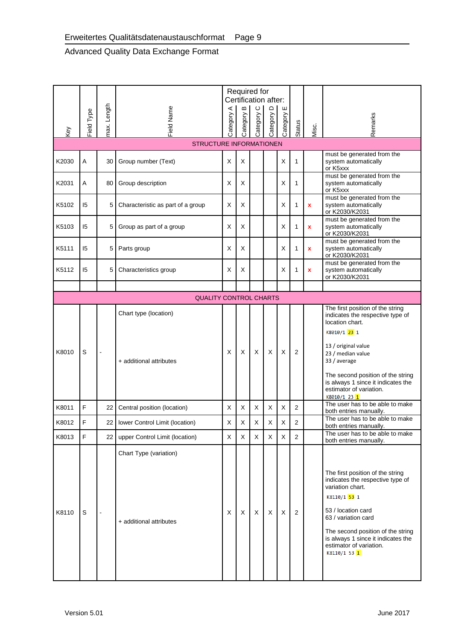<span id="page-16-0"></span>

| Key   | Field Type                | max. Length    | Field Name                                        | Category A | Required for<br>Certification after:<br>Б<br>Category | $\circ$<br>Category | Category D | ш<br>Category | Status         | Misc.        | Remarks                                                                                                                                                                                                                                                                     |
|-------|---------------------------|----------------|---------------------------------------------------|------------|-------------------------------------------------------|---------------------|------------|---------------|----------------|--------------|-----------------------------------------------------------------------------------------------------------------------------------------------------------------------------------------------------------------------------------------------------------------------------|
|       |                           |                | STRUCTURE INFORMATIONEN                           |            |                                                       |                     |            |               |                |              |                                                                                                                                                                                                                                                                             |
| K2030 | Α                         | 30             | Group number (Text)                               | X          | X                                                     |                     |            | X             | 1              |              | must be generated from the<br>system automatically<br>or K5xxx                                                                                                                                                                                                              |
| K2031 | Α                         | 80             | Group description                                 | х          | X                                                     |                     |            | X             | 1              |              | must be generated from the<br>system automatically<br>or K5xxx                                                                                                                                                                                                              |
| K5102 | 15                        | 5              | Characteristic as part of a group                 | X          | X                                                     |                     |            | X             | 1              | x            | must be generated from the<br>system automatically<br>or K2030/K2031                                                                                                                                                                                                        |
| K5103 | 15                        | 5              | Group as part of a group                          | X          | X                                                     |                     |            | X             | 1              | $\mathbf{x}$ | must be generated from the<br>system automatically<br>or K2030/K2031                                                                                                                                                                                                        |
| K5111 | 15                        | 5              | Parts group                                       | X          | Х                                                     |                     |            | Х             | 1              | $\mathbf x$  | must be generated from the<br>system automatically<br>or K2030/K2031                                                                                                                                                                                                        |
| K5112 | 15                        | 5              | Characteristics group                             | х          | Х                                                     |                     |            | Х             | 1              | x            | must be generated from the<br>system automatically<br>or K2030/K2031                                                                                                                                                                                                        |
|       |                           |                |                                                   |            |                                                       |                     |            |               |                |              |                                                                                                                                                                                                                                                                             |
|       |                           |                | <b>QUALITY CONTROL CHARTS</b>                     |            |                                                       |                     |            |               |                |              | The first position of the string                                                                                                                                                                                                                                            |
| K8010 | S                         | $\blacksquare$ | Chart type (location)<br>+ additional attributes  | X          | Х                                                     | X                   | X          | Х             | 2              |              | indicates the respective type of<br>location chart.<br>K8010/1 23 1<br>13 / original value<br>23 / median value<br>33 / average<br>The second position of the string<br>is always 1 since it indicates the<br>estimator of variation.<br>K8010/1 23 1                       |
| K8011 | F                         | 22             | Central position (location)                       | Х          | X                                                     | X                   | X          | X             | 2              |              | The user has to be able to make<br>both entries manually.                                                                                                                                                                                                                   |
| K8012 | F                         |                | 22   lower Control Limit (location)               | X          | X                                                     | X                   | X          | X             | $\overline{2}$ |              | The user has to be able to make<br>both entries manually.                                                                                                                                                                                                                   |
| K8013 | F                         |                | 22 upper Control Limit (location)                 | $\times$   | X                                                     | X                   | X          | X             | 2              |              | The user has to be able to make<br>both entries manually.                                                                                                                                                                                                                   |
| K8110 | S                         |                | Chart Type (variation)<br>+ additional attributes | Х          | X                                                     | X                   | X          | Χ             | 2              |              | The first position of the string<br>indicates the respective type of<br>variation chart.<br>K8110/1 53 1<br>53 / location card<br>63 / variation card<br>The second position of the string<br>is always 1 since it indicates the<br>estimator of variation.<br>K8110/1 53 1 |
|       | Version 5.01<br>June 2017 |                |                                                   |            |                                                       |                     |            |               |                |              |                                                                                                                                                                                                                                                                             |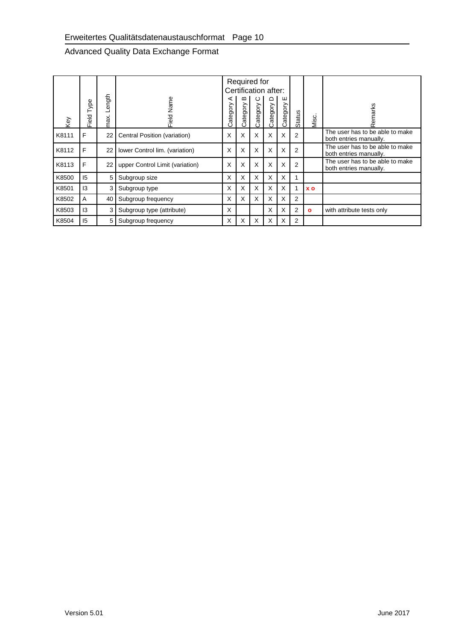<span id="page-17-0"></span>

|                | Field Type   | max. Length                    | Field Name                                      | Category A                 | Category B  | Required for<br>Category C | Certification after:<br>Category D | Category E       |                            |              | Remarks                                                   |
|----------------|--------------|--------------------------------|-------------------------------------------------|----------------------------|-------------|----------------------------|------------------------------------|------------------|----------------------------|--------------|-----------------------------------------------------------|
| Key            |              |                                |                                                 |                            |             |                            |                                    |                  | Status                     | Misc.        |                                                           |
| K8111          | $\mathsf F$  | 22                             | Central Position (variation)                    | $\pmb{\times}$             | $\mathsf X$ | $\mathsf X$                | $\mathsf X$                        | $\mathsf X$      | $\overline{c}$             |              | The user has to be able to make<br>both entries manually. |
| K8112          | $\mathsf F$  | 22                             | lower Control lim. (variation)                  | $\mathsf X$                | $\mathsf X$ | $\sf X$                    | $\mathsf X$                        | $\mathsf X$      | $\mathbf 2$                |              | The user has to be able to make<br>both entries manually. |
| K8113          | $\mathsf F$  | 22                             | upper Control Limit (variation)                 | X                          | $\mathsf X$ | $\mathsf X$                | $\mathsf X$                        | $\mathsf X$      | $\mathbf 2$                |              | The user has to be able to make<br>both entries manually. |
| K8500          | 15           | 5                              | Subgroup size                                   | $\sf X$                    | $\mathsf X$ | $\mathsf X$                | $\mathsf X$                        | $\mathsf X$      | $\mathbf{1}$               |              |                                                           |
| K8501          | 13           | 3                              | Subgroup type                                   | $\mathsf X$                | $\sf X$     | $\mathsf X$                | $\boldsymbol{\mathsf{X}}$          | X                | $\mathbf{1}$               | <b>xo</b>    |                                                           |
| K8502          | $\mathsf A$  | 40                             | Subgroup frequency                              | $\mathsf X$                | $\mathsf X$ | $\mathsf X$                | $\sf X$                            | $\mathsf X$      | $\mathbf 2$                |              |                                                           |
| K8503<br>K8504 | 13<br>15     | $\mathbf{3}$<br>5 <sup>1</sup> | Subgroup type (attribute)<br>Subgroup frequency | $\mathsf X$<br>$\mathsf X$ | $\mathsf X$ | $\mathsf X$                | $\mathsf X$<br>$\mathsf X$         | $\mathsf X$<br>X | $\mathbf 2$<br>$\mathbf 2$ | $\mathbf{o}$ | with attribute tests only                                 |
|                | Version 5.01 |                                |                                                 |                            |             |                            |                                    |                  |                            |              | <b>June 2017</b>                                          |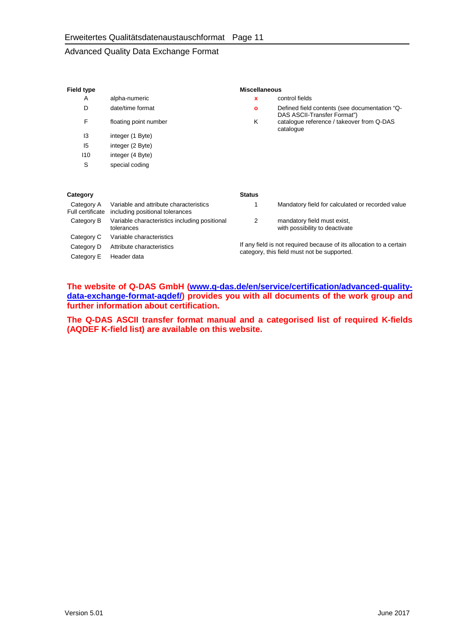| Field type                     |                                                                           |                                                                     | <b>Miscellaneous</b>                                                         |  |  |  |
|--------------------------------|---------------------------------------------------------------------------|---------------------------------------------------------------------|------------------------------------------------------------------------------|--|--|--|
| A                              | alpha-numeric                                                             | x                                                                   | control fields                                                               |  |  |  |
| D                              | date/time format                                                          | o                                                                   | Defined field contents (see documentation "Q-<br>DAS ASCII-Transfer Format") |  |  |  |
| F                              | floating point number                                                     | ĸ                                                                   | catalogue reference / takeover from Q-DAS<br>catalogue                       |  |  |  |
| 13                             | integer (1 Byte)                                                          |                                                                     |                                                                              |  |  |  |
| 15                             | integer (2 Byte)                                                          |                                                                     |                                                                              |  |  |  |
| 110                            | integer (4 Byte)                                                          |                                                                     |                                                                              |  |  |  |
| S                              | special coding                                                            |                                                                     |                                                                              |  |  |  |
| Category                       |                                                                           | <b>Status</b>                                                       |                                                                              |  |  |  |
| Category A<br>Full certificate | Variable and attribute characteristics<br>including positional tolerances | 1                                                                   | Mandatory field for calculated or recorded value                             |  |  |  |
| Category B                     | Variable characteristics including positional<br>tolerances               | 2                                                                   | mandatory field must exist,<br>with possibility to deactivate                |  |  |  |
| Category C                     | Variable characteristics                                                  |                                                                     |                                                                              |  |  |  |
| Category D                     | Attribute characteristics                                                 | If any field is not required because of its allocation to a certain |                                                                              |  |  |  |
| Category E                     | Header data                                                               | category, this field must not be supported.                         |                                                                              |  |  |  |

**The website of Q-DAS GmbH [\(www.q-das.de/en/service/certification/advanced-quality](http://www.q-das.de/en/service/certification/advanced-quality-data-exchange-format-aqdef/)[data-exchange-format-aqdef/\)](http://www.q-das.de/en/service/certification/advanced-quality-data-exchange-format-aqdef/) provides you with all documents of the work group and further information about certification.**

**The Q-DAS ASCII transfer format manual and a categorised list of required K-fields (AQDEF K-field list) are available on this website.**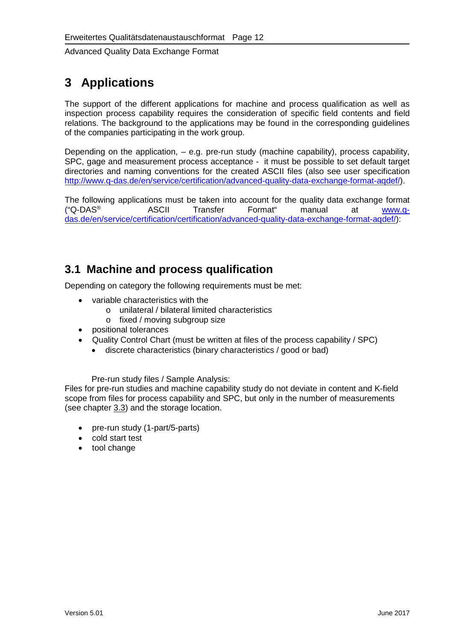# <span id="page-19-3"></span>**3 Applications**

The support of the different applications for machine and process qualification as well as inspection process capability requires the consideration of specific field contents and field relations. The background to the applications may be found in the corresponding guidelines of the companies participating in the work group.

Depending on the application, – e.g. pre-run study (machine capability), process capability, SPC, gage and measurement process acceptance - it must be possible to set default target directories and naming conventions for the created ASCII files (also see user specification [http://www.q-das.de/en/service/certification/advanced-quality-data-exchange-format-aqdef/\)](http://www.q-das.de/en/service/certification/advanced-quality-data-exchange-format-aqdef/).

The following applications must be taken into account for the quality data exchange format<br>
"Q-DAS® ASCII Transfer Format" manual at www.q-("Q-DAS<sup>®</sup> ASCII Transfer Format" manual at <u>www.q-</u> [das.de/en/service/certification/certification/advanced-quality-data-exchange-format-aqdef/\)](http://www.q-das.de/en/service/certification/certification/advanced-quality-data-exchange-format-aqdef/):

## <span id="page-19-1"></span>**3.1 Machine and process qualification**

<span id="page-19-0"></span>Depending on category the following requirements must be met:

- variable characteristics with the
	- o unilateral / bilateral limited characteristics
	- o fixed / moving subgroup size
- positional tolerances
- Quality Control Chart (must be written at files of the process capability / SPC)
	- discrete characteristics (binary characteristics / good or bad)

Pre-run study files / Sample Analysis:

Files for pre-run studies and machine capability study do not deviate in content and K-field scope from files for process capability and SPC, but only in the number of measurements (see chapter [3.3\)](#page-20-4) and the storage location.

- <span id="page-19-2"></span>• pre-run study (1-part/5-parts)
- cold start test
- tool change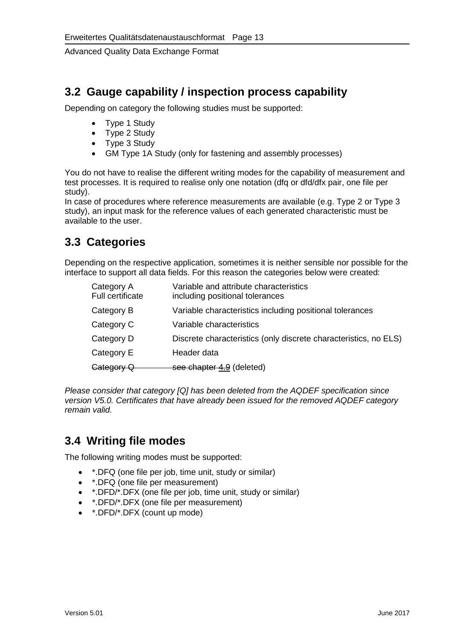## <span id="page-20-1"></span>**3.2 Gauge capability / inspection process capability**

<span id="page-20-2"></span>Depending on category the following studies must be supported:

- Type 1 Study
- Type 2 Study
- Type 3 Study
- GM Type 1A Study (only for fastening and assembly processes)

You do not have to realise the different writing modes for the capability of measurement and test processes. It is required to realise only one notation (dfq or dfd/dfx pair, one file per study).

<span id="page-20-0"></span>In case of procedures where reference measurements are available (e.g. Type 2 or Type 3 study), an input mask for the reference values of each generated characteristic must be available to the user.

## <span id="page-20-4"></span>**3.3 Categories**

Depending on the respective application, sometimes it is neither sensible nor possible for the interface to support all data fields. For this reason the categories below were created:

<span id="page-20-3"></span>

| Category A<br><b>Full certificate</b> | Variable and attribute characteristics<br>including positional tolerances |
|---------------------------------------|---------------------------------------------------------------------------|
| Category B                            | Variable characteristics including positional tolerances                  |
| Category C                            | Variable characteristics                                                  |
| Category D                            | Discrete characteristics (only discrete characteristics, no ELS)          |
| Category E                            | Header data                                                               |
| Category Q                            | see chapter 4.9 (deleted)                                                 |

*Please consider that category [Q] has been deleted from the AQDEF specification since version V5.0. Certificates that have already been issued for the removed AQDEF category remain valid.*

## <span id="page-20-5"></span>**3.4 Writing file modes**

The following writing modes must be supported:

- \*.DFQ (one file per job, time unit, study or similar)
- \*.DFQ (one file per measurement)
- \*.DFD/\*.DFX (one file per job, time unit, study or similar)
- \*.DFD/\*.DFX (one file per measurement)
- \*.DFD/\*.DFX (count up mode)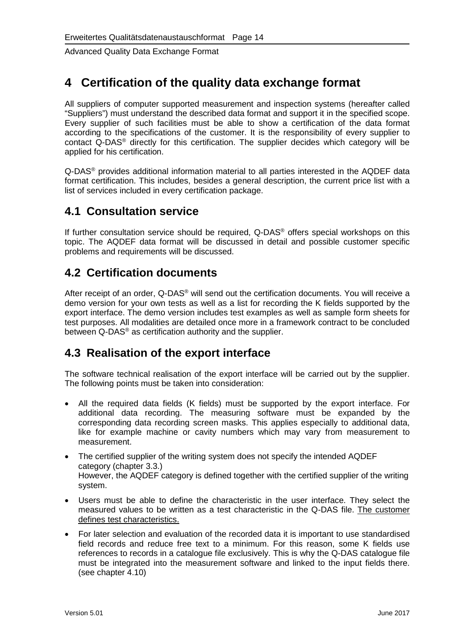## <span id="page-21-2"></span>**4 Certification of the quality data exchange format**

All suppliers of computer supported measurement and inspection systems (hereafter called "Suppliers") must understand the described data format and support it in the specified scope. Every supplier of such facilities must be able to show a certification of the data format according to the specifications of the customer. It is the responsibility of every supplier to contact Q-DAS® directly for this certification. The supplier decides which category will be applied for his certification.

Q-DAS® provides additional information material to all parties interested in the AQDEF data format certification. This includes, besides a general description, the current price list with a list of services included in every certification package.

### <span id="page-21-3"></span>**4.1 Consultation service**

If further consultation service should be required, Q-DAS® offers special workshops on this topic. The AQDEF data format will be discussed in detail and possible customer specific problems and requirements will be discussed.

## <span id="page-21-4"></span>**4.2 Certification documents**

After receipt of an order, Q-DAS<sup>®</sup> will send out the certification documents. You will receive a demo version for your own tests as well as a list for recording the K fields supported by the export interface. The demo version includes test examples as well as sample form sheets for test purposes. All modalities are detailed once more in a framework contract to be concluded between Q-DAS<sup>®</sup> as certification authority and the supplier.

## <span id="page-21-0"></span>**4.3 Realisation of the export interface**

The software technical realisation of the export interface will be carried out by the supplier. The following points must be taken into consideration:

- All the required data fields (K fields) must be supported by the export interface. For additional data recording. The measuring software must be expanded by the corresponding data recording screen masks. This applies especially to additional data, like for example machine or cavity numbers which may vary from measurement to measurement.
- The certified supplier of the writing system does not specify the intended AQDEF category (chapter 3.3.) However, the AQDEF category is defined together with the certified supplier of the writing system.
- Users must be able to define the characteristic in the user interface. They select the measured values to be written as a test characteristic in the Q-DAS file. The customer defines test characteristics.
- <span id="page-21-1"></span>• For later selection and evaluation of the recorded data it is important to use standardised field records and reduce free text to a minimum. For this reason, some K fields use references to records in a catalogue file exclusively. This is why the Q-DAS catalogue file must be integrated into the measurement software and linked to the input fields there. (see chapter 4.10)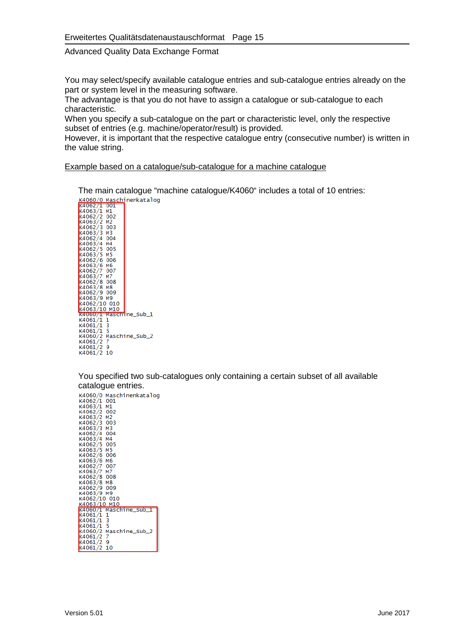<span id="page-22-0"></span>You may select/specify available catalogue entries and sub-catalogue entries already on the part or system level in the measuring software.

The advantage is that you do not have to assign a catalogue or sub-catalogue to each characteristic.

When you specify a sub-catalogue on the part or characteristic level, only the respective subset of entries (e.g. machine/operator/result) is provided.

However, it is important that the respective catalogue entry (consecutive number) is written in the value string.

#### Example based on a catalogue/sub-catalogue for a machine catalogue

The main catalogue "machine catalogue/K4060" includes a total of 10 entries:<br>
x4066/0 waschinenkatalog<br>
x4063/1 w1<br>
x4063/2 w2<br>
x4063/2 w2<br>
x4063/2 w2<br>
x4063/2 w2<br>
x4063/3 w3<br>
x4063/4 w4<br>
x4063/4 w4<br>
x4063/5 w5<br>
x4063/5 w  $k4061/1$  1<br> $k4061/1$  3<br> $k4061/1$  5 k4066/2 Maschine\_sub\_2<br>K4066/2 Maschine\_sub\_2<br>K4061/2 9<br>K4061/2 10

You specified two sub-catalogues only containing a certain subset of all available catalogue entries.

| K4060/0 Maschinenkatalog               |
|----------------------------------------|
| K4062/1 001                            |
| K4063/1 M1                             |
| K4062/2 002                            |
| K4063/2 M2                             |
| к4062/3 003                            |
| K4063/3 M3                             |
| K4062/4 004                            |
| K4063/4 M4                             |
| K4062/5 005                            |
| K4063/5 M5                             |
| K4062/6 006                            |
| к4063/6 м6                             |
| K4062/7 007                            |
| K4063/7 M7                             |
| K4062/8 008                            |
| K4063/8 M8                             |
| к4062/9 009                            |
| К4063/9 М9                             |
| K4062/10 010                           |
| K4063/10 M10                           |
| K4060/1 Maschine_Sub_1<br>K4061/1<br>1 |
| K4061/1 3                              |
| $K4061/1$ 5                            |
| K4060/2 Maschine_Sub_2                 |
| K4061/27                               |
| K4061/2<br>9                           |
| K4061/2<br>10                          |
|                                        |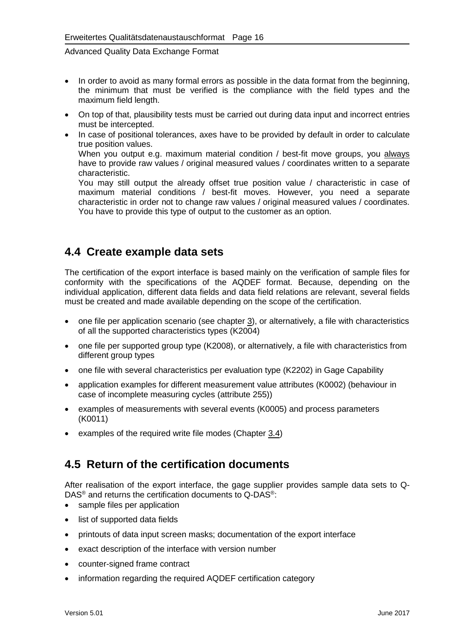- In order to avoid as many formal errors as possible in the data format from the beginning, the minimum that must be verified is the compliance with the field types and the maximum field length.
- On top of that, plausibility tests must be carried out during data input and incorrect entries must be intercepted.
- <span id="page-23-0"></span>• In case of positional tolerances, axes have to be provided by default in order to calculate true position values. When you output e.g. maximum material condition / best-fit move groups, you always have to provide raw values / original measured values / coordinates written to a separate characteristic. You may still output the already offset true position value / characteristic in case of

maximum material conditions / best-fit moves. However, you need a separate characteristic in order not to change raw values / original measured values / coordinates. You have to provide this type of output to the customer as an option.

### <span id="page-23-1"></span>**4.4 Create example data sets**

The certification of the export interface is based mainly on the verification of sample files for conformity with the specifications of the AQDEF format. Because, depending on the individual application, different data fields and data field relations are relevant, several fields must be created and made available depending on the scope of the certification.

- one file per application scenario (see chapter [3\)](#page-19-3), or alternatively, a file with characteristics of all the supported characteristics types (K2004)
- one file per supported group type (K2008), or alternatively, a file with characteristics from different group types
- one file with several characteristics per evaluation type (K2202) in Gage Capability
- application examples for different measurement value attributes (K0002) (behaviour in case of incomplete measuring cycles (attribute 255))
- examples of measurements with several events (K0005) and process parameters (K0011)
- examples of the required write file modes (Chapter [3.4\)](#page-20-5)

## <span id="page-23-2"></span>**4.5 Return of the certification documents**

After realisation of the export interface, the gage supplier provides sample data sets to Q-DAS<sup>®</sup> and returns the certification documents to Q-DAS<sup>®</sup>:

- sample files per application
- list of supported data fields
- printouts of data input screen masks; documentation of the export interface
- exact description of the interface with version number
- counter-signed frame contract
- information regarding the required AQDEF certification category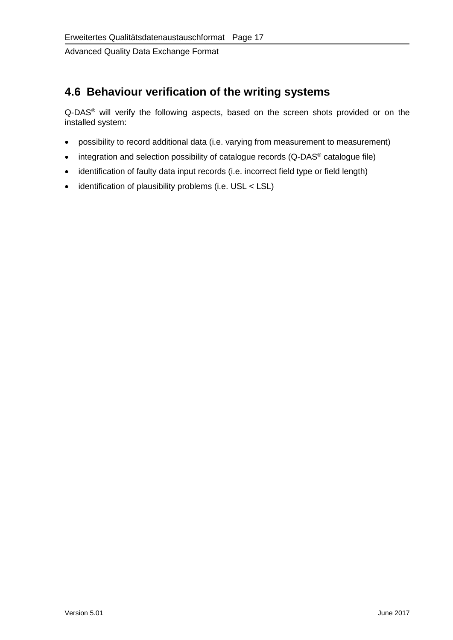## <span id="page-24-0"></span>**4.6 Behaviour verification of the writing systems**

Q-DAS® will verify the following aspects, based on the screen shots provided or on the installed system:

- possibility to record additional data (i.e. varying from measurement to measurement)
- integration and selection possibility of catalogue records (Q-DAS<sup>®</sup> catalogue file)
- identification of faulty data input records (i.e. incorrect field type or field length)
- identification of plausibility problems (i.e. USL < LSL)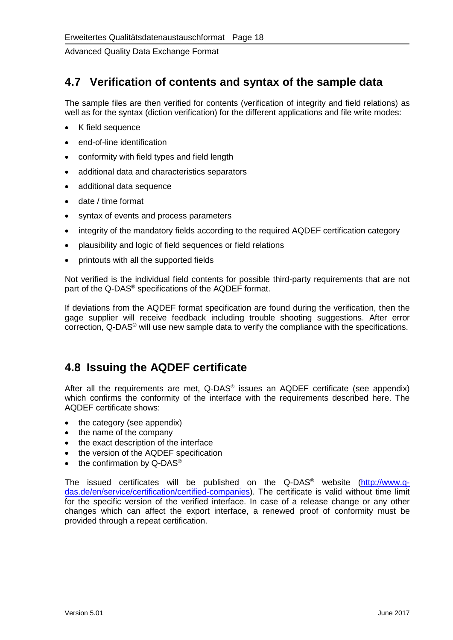#### <span id="page-25-0"></span>**4.7 Verification of contents and syntax of the sample data**

The sample files are then verified for contents (verification of integrity and field relations) as well as for the syntax (diction verification) for the different applications and file write modes:

- K field sequence
- end-of-line identification
- conformity with field types and field length
- additional data and characteristics separators
- additional data sequence
- date / time format
- syntax of events and process parameters
- integrity of the mandatory fields according to the required AQDEF certification category
- plausibility and logic of field sequences or field relations
- printouts with all the supported fields

Not verified is the individual field contents for possible third-party requirements that are not part of the Q-DAS® specifications of the AQDEF format.

If deviations from the AQDEF format specification are found during the verification, then the gage supplier will receive feedback including trouble shooting suggestions. After error correction, Q-DAS® will use new sample data to verify the compliance with the specifications.

## <span id="page-25-1"></span>**4.8 Issuing the AQDEF certificate**

After all the requirements are met, Q-DAS® issues an AQDEF certificate (see appendix) which confirms the conformity of the interface with the requirements described here. The AQDEF certificate shows:

- the category (see appendix)
- the name of the company
- the exact description of the interface
- the version of the AQDEF specification
- the confirmation by Q-DAS<sup>®</sup>

The issued certificates will be published on the Q-DAS<sup>®</sup> website [\(http://www.q](http://www.q-das.de/en/service/certification/certified-companies)[das.de/en/service/certification/certified-companies\)](http://www.q-das.de/en/service/certification/certified-companies). The certificate is valid without time limit for the specific version of the verified interface. In case of a release change or any other changes which can affect the export interface, a renewed proof of conformity must be provided through a repeat certification.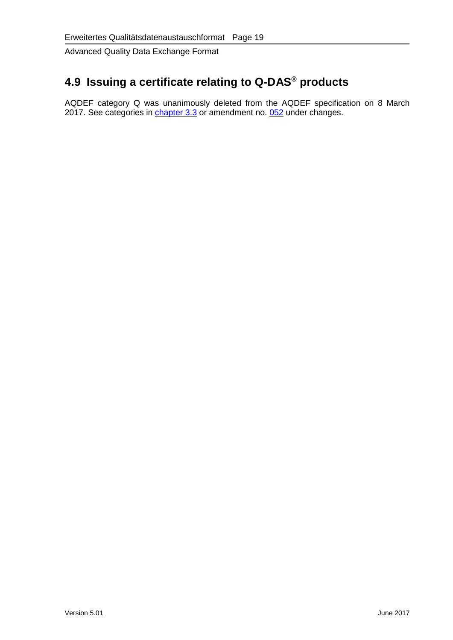# <span id="page-26-0"></span>**4.9 Issuing a certificate relating to Q-DAS® products**

AQDEF category Q was unanimously deleted from the AQDEF specification on 8 March 2017. See categories in <u>chapter 3.3</u> or amendment no. <u>052</u> under changes.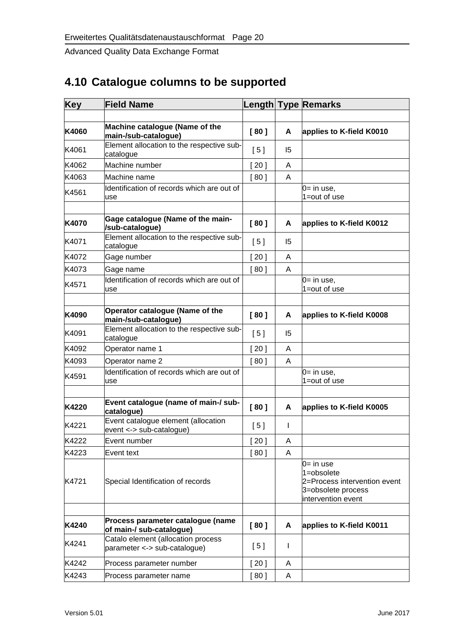# <span id="page-27-0"></span>**4.10 Catalogue columns to be supported**

| <b>Key</b> | <b>Field Name</b>                                                  |        |    | <b>Length Type Remarks</b>                                                                             |
|------------|--------------------------------------------------------------------|--------|----|--------------------------------------------------------------------------------------------------------|
|            |                                                                    |        |    |                                                                                                        |
| K4060      | Machine catalogue (Name of the<br>main-/sub-catalogue)             | [80]   | A  | applies to K-field K0010                                                                               |
| K4061      | Element allocation to the respective sub-<br>catalogue             | [5]    | 15 |                                                                                                        |
| K4062      | Machine number                                                     | [20]   | A  |                                                                                                        |
| K4063      | Machine name                                                       | [80]   | A  |                                                                                                        |
| K4561      | Identification of records which are out of<br>use                  |        |    | $0 = in use,$<br>1=out of use                                                                          |
| K4070      | Gage catalogue (Name of the main-<br>/sub-catalogue)               | [80]   | A  | applies to K-field K0012                                                                               |
| K4071      | Element allocation to the respective sub-<br>catalogue             | [5]    | 15 |                                                                                                        |
| K4072      | Gage number                                                        | [20]   | A  |                                                                                                        |
| K4073      | Gage name                                                          | [80]   | A  |                                                                                                        |
| K4571      | Identification of records which are out of<br>use                  |        |    | $0=$ in use,<br>1=out of use                                                                           |
| K4090      | Operator catalogue (Name of the<br>main-/sub-catalogue)            | [80]   | A  | applies to K-field K0008                                                                               |
| K4091      | Element allocation to the respective sub-<br>catalogue             | [5]    | 15 |                                                                                                        |
| K4092      | Operator name 1                                                    | [20]   | A  |                                                                                                        |
| K4093      | Operator name 2                                                    | [80]   | A  |                                                                                                        |
| K4591      | Identification of records which are out of<br>use                  |        |    | $0=$ in use,<br>1=out of use                                                                           |
| K4220      | Event catalogue (name of main-/ sub-<br>catalogue)                 | [80]   | A  | applies to K-field K0005                                                                               |
| K4221      | Event catalogue element (allocation<br>event <-> sub-catalogue)    | [5]    | I  |                                                                                                        |
| K4222      | Event number                                                       | $20$ ] | Α  |                                                                                                        |
| K4223      | Event text                                                         | [80]   | Α  |                                                                                                        |
| K4721      | Special Identification of records                                  |        |    | $0 = in use$<br>1=obsolete<br>2=Process intervention event<br>3=obsolete process<br>intervention event |
|            |                                                                    |        |    |                                                                                                        |
| K4240      | Process parameter catalogue (name<br>of main-/ sub-catalogue)      | [80]   | A  | applies to K-field K0011                                                                               |
| K4241      | Catalo element (allocation process<br>parameter <-> sub-catalogue) | [5]    | I  |                                                                                                        |
| K4242      | Process parameter number                                           | $[20]$ | A  |                                                                                                        |
| K4243      | Process parameter name                                             | [80]   | A  |                                                                                                        |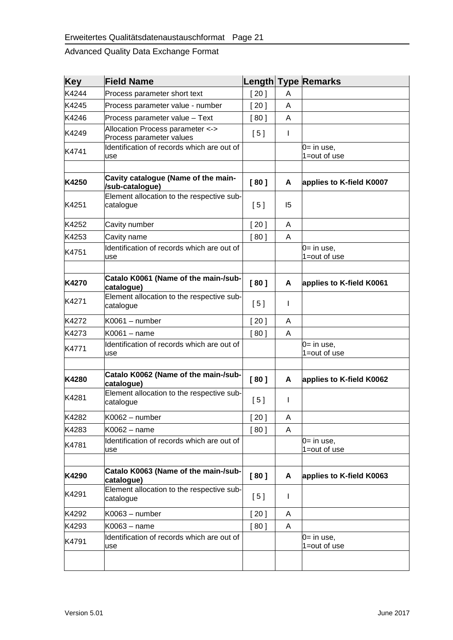| Key   | <b>Field Name</b>                                            | Length |              | <b>Type Remarks</b>                  |
|-------|--------------------------------------------------------------|--------|--------------|--------------------------------------|
| K4244 | Process parameter short text                                 | [20]   | A            |                                      |
| K4245 | Process parameter value - number                             | [20]   | A            |                                      |
| K4246 | Process parameter value - Text                               | [80]   | A            |                                      |
| K4249 | Allocation Process parameter <-><br>Process parameter values | [5]    | Т            |                                      |
| K4741 | Identification of records which are out of<br>use            |        |              | 0= in use,<br>1=out of use           |
|       |                                                              |        |              |                                      |
| K4250 | Cavity catalogue (Name of the main-<br>/sub-catalogue)       | [80]   | A            | applies to K-field K0007             |
| K4251 | Element allocation to the respective sub-<br>catalogue       | [5]    | 15           |                                      |
| K4252 | Cavity number                                                | [20]   | A            |                                      |
| K4253 | Cavity name                                                  | [80]   | A            |                                      |
| K4751 | Identification of records which are out of<br>use            |        |              | $0 = \text{in}$ use,<br>1=out of use |
|       |                                                              |        |              |                                      |
| K4270 | Catalo K0061 (Name of the main-/sub-<br>catalogue)           | [80]   | A            | applies to K-field K0061             |
| K4271 | Element allocation to the respective sub-<br>catalogue       | [5]    | I            |                                      |
| K4272 | K0061 - number                                               | [20]   | A            |                                      |
| K4273 | K0061 - name                                                 | [80]   | A            |                                      |
| K4771 | Identification of records which are out of<br>use            |        |              | $0=$ in use,<br>1=out of use         |
|       |                                                              |        |              |                                      |
| K4280 | Catalo K0062 (Name of the main-/sub-<br>catalogue)           | [80]   | A            | applies to K-field K0062             |
| K4281 | Element allocation to the respective sub-<br>catalogue       | [5]    | I            |                                      |
| K4282 | K0062 - number                                               | [20]   | A            |                                      |
| K4283 | K0062 - name                                                 | [80]   | A            |                                      |
| K4781 | Identification of records which are out of<br>use            |        |              | $0 = \text{in}$ use,<br>1=out of use |
|       |                                                              |        |              |                                      |
| K4290 | Catalo K0063 (Name of the main-/sub-<br>catalogue)           | [80]   | A            | applies to K-field K0063             |
| K4291 | Element allocation to the respective sub-<br>catalogue       | [5]    | $\mathsf{I}$ |                                      |
| K4292 | K0063 - number                                               | [20]   | A            |                                      |
| K4293 | K0063 - name                                                 | [80]   | A            |                                      |
| K4791 | Identification of records which are out of<br>use            |        |              | $0=$ in use,<br>1=out of use         |
|       |                                                              |        |              |                                      |